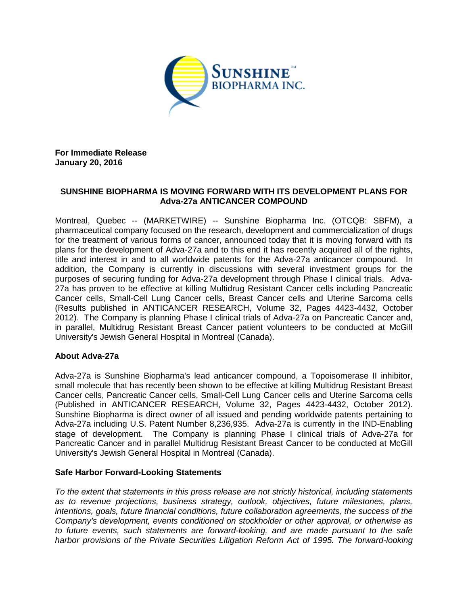

**For Immediate Release January 20, 2016**

## **SUNSHINE BIOPHARMA IS MOVING FORWARD WITH ITS DEVELOPMENT PLANS FOR Adva-27a ANTICANCER COMPOUND**

Montreal, Quebec -- (MARKETWIRE) -- Sunshine Biopharma Inc. (OTCQB: SBFM), a pharmaceutical company focused on the research, development and commercialization of drugs for the treatment of various forms of cancer, announced today that it is moving forward with its plans for the development of Adva-27a and to this end it has recently acquired all of the rights, title and interest in and to all worldwide patents for the Adva-27a anticancer compound. In addition, the Company is currently in discussions with several investment groups for the purposes of securing funding for Adva-27a development through Phase I clinical trials. Adva-27a has proven to be effective at killing Multidrug Resistant Cancer cells including Pancreatic Cancer cells, Small-Cell Lung Cancer cells, Breast Cancer cells and Uterine Sarcoma cells (Results published in ANTICANCER RESEARCH, Volume 32, Pages 4423-4432, October 2012). The Company is planning Phase I clinical trials of Adva-27a on Pancreatic Cancer and, in parallel, Multidrug Resistant Breast Cancer patient volunteers to be conducted at McGill University's Jewish General Hospital in Montreal (Canada).

## **About Adva-27a**

Adva-27a is Sunshine Biopharma's lead anticancer compound, a Topoisomerase II inhibitor, small molecule that has recently been shown to be effective at killing Multidrug Resistant Breast Cancer cells, Pancreatic Cancer cells, Small-Cell Lung Cancer cells and Uterine Sarcoma cells (Published in ANTICANCER RESEARCH, Volume 32, Pages 4423-4432, October 2012). Sunshine Biopharma is direct owner of all issued and pending worldwide patents pertaining to Adva-27a including U.S. Patent Number 8,236,935. Adva-27a is currently in the IND-Enabling stage of development. The Company is planning Phase I clinical trials of Adva-27a for Pancreatic Cancer and in parallel Multidrug Resistant Breast Cancer to be conducted at McGill University's Jewish General Hospital in Montreal (Canada).

## **Safe Harbor Forward-Looking Statements**

*To the extent that statements in this press release are not strictly historical, including statements as to revenue projections, business strategy, outlook, objectives, future milestones, plans, intentions, goals, future financial conditions, future collaboration agreements, the success of the Company's development, events conditioned on stockholder or other approval, or otherwise as to future events, such statements are forward-looking, and are made pursuant to the safe harbor provisions of the Private Securities Litigation Reform Act of 1995. The forward-looking*